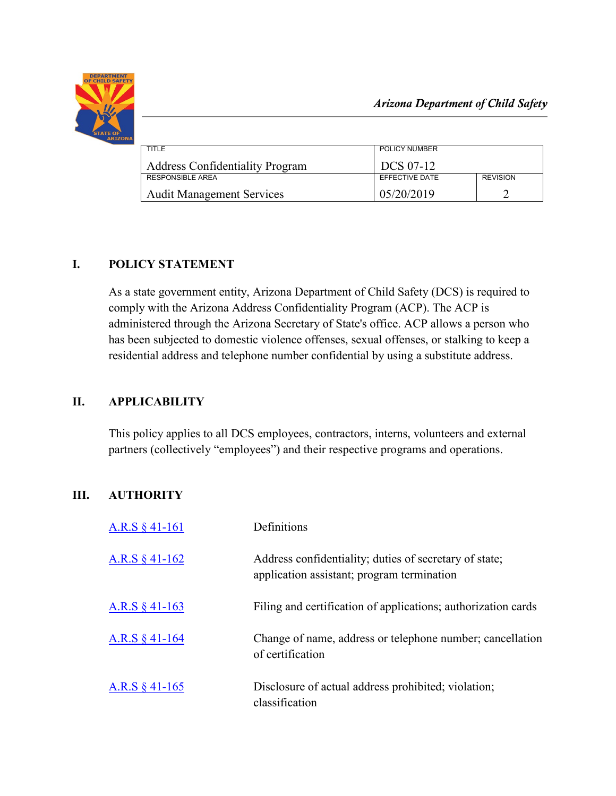

| TITLE                                  | POLICY NUMBER         |                 |
|----------------------------------------|-----------------------|-----------------|
| <b>Address Confidentiality Program</b> | DCS 07-12             |                 |
| <b>RESPONSIBLE AREA</b>                | <b>FFFFCTIVE DATE</b> | <b>REVISION</b> |
| <b>Audit Management Services</b>       | 05/20/2019            |                 |

# **I. POLICY STATEMENT**

As a state government entity, Arizona Department of Child Safety (DCS) is required to comply with the Arizona Address Confidentiality Program (ACP). The ACP is administered through the Arizona Secretary of State's office. ACP allows a person who has been subjected to domestic violence offenses, sexual offenses, or stalking to keep a residential address and telephone number confidential by using a substitute address.

## **II. APPLICABILITY**

This policy applies to all DCS employees, contractors, interns, volunteers and external partners (collectively "employees") and their respective programs and operations.

# **III. AUTHORITY**

| A.R.S $§$ 41-161 | Definitions                                                                                          |
|------------------|------------------------------------------------------------------------------------------------------|
| A.R.S $§$ 41-162 | Address confidentiality; duties of secretary of state;<br>application assistant; program termination |
| A.R.S $§$ 41-163 | Filing and certification of applications; authorization cards                                        |
| A.R.S $§$ 41-164 | Change of name, address or telephone number; cancellation<br>of certification                        |
| A.R.S $§$ 41-165 | Disclosure of actual address prohibited; violation;<br>classification                                |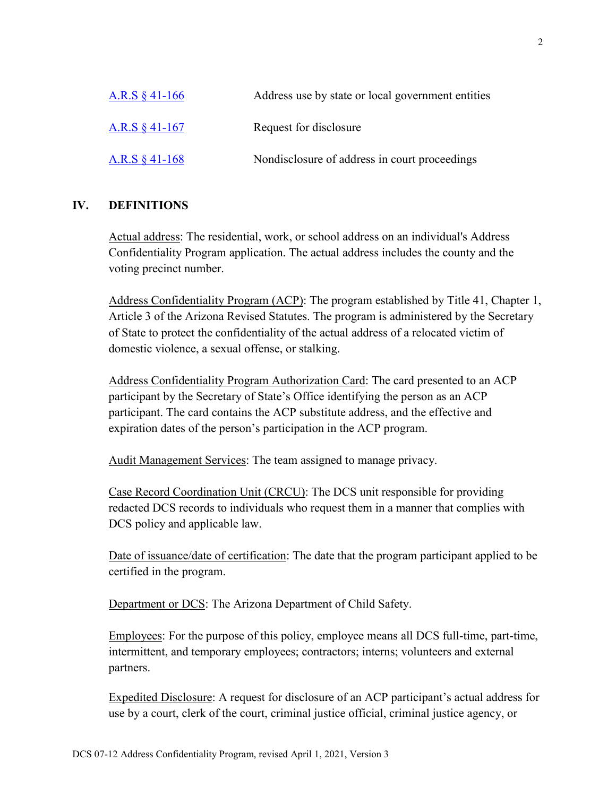| A.R.S $§$ 41-166 | Address use by state or local government entities |
|------------------|---------------------------------------------------|
| A.R.S $§$ 41-167 | Request for disclosure                            |
| A.R.S $§$ 41-168 | Nondisclosure of address in court proceedings     |

#### **IV. DEFINITIONS**

Actual address: The residential, work, or school address on an individual's Address Confidentiality Program application. The actual address includes the county and the voting precinct number.

Address Confidentiality Program (ACP): The program established by Title 41, Chapter 1, Article 3 of the Arizona Revised Statutes. The program is administered by the Secretary of State to protect the confidentiality of the actual address of a relocated victim of domestic violence, a sexual offense, or stalking.

Address Confidentiality Program Authorization Card: The card presented to an ACP participant by the Secretary of State's Office identifying the person as an ACP participant. The card contains the ACP substitute address, and the effective and expiration dates of the person's participation in the ACP program.

Audit Management Services: The team assigned to manage privacy.

Case Record Coordination Unit (CRCU): The DCS unit responsible for providing redacted DCS records to individuals who request them in a manner that complies with DCS policy and applicable law.

Date of issuance/date of certification: The date that the program participant applied to be certified in the program.

Department or DCS: The Arizona Department of Child Safety.

Employees: For the purpose of this policy, employee means all DCS full-time, part-time, intermittent, and temporary employees; contractors; interns; volunteers and external partners.

Expedited Disclosure: A request for disclosure of an ACP participant's actual address for use by a court, clerk of the court, criminal justice official, criminal justice agency, or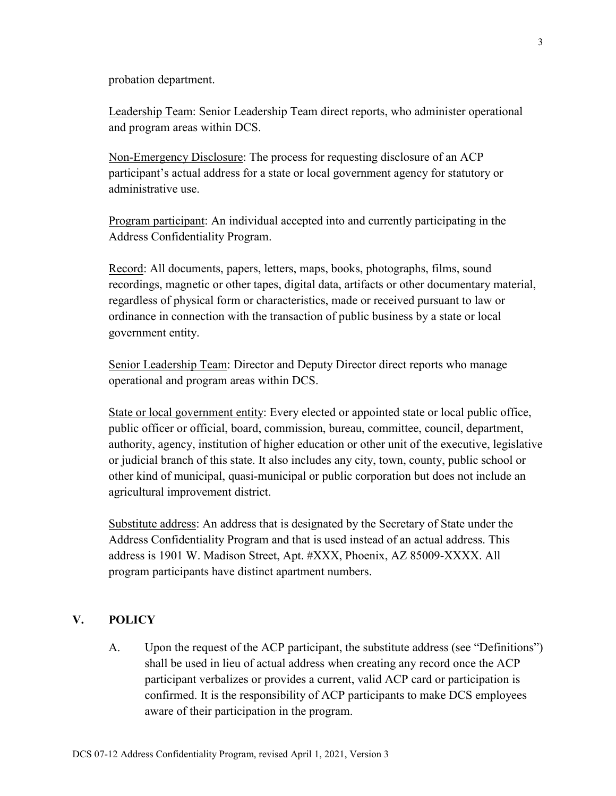probation department.

Leadership Team: Senior Leadership Team direct reports, who administer operational and program areas within DCS.

Non-Emergency Disclosure: The process for requesting disclosure of an ACP participant's actual address for a state or local government agency for statutory or administrative use.

Program participant: An individual accepted into and currently participating in the Address Confidentiality Program.

Record: All documents, papers, letters, maps, books, photographs, films, sound recordings, magnetic or other tapes, digital data, artifacts or other documentary material, regardless of physical form or characteristics, made or received pursuant to law or ordinance in connection with the transaction of public business by a state or local government entity.

Senior Leadership Team: Director and Deputy Director direct reports who manage operational and program areas within DCS.

State or local government entity: Every elected or appointed state or local public office, public officer or official, board, commission, bureau, committee, council, department, authority, agency, institution of higher education or other unit of the executive, legislative or judicial branch of this state. It also includes any city, town, county, public school or other kind of municipal, quasi-municipal or public corporation but does not include an agricultural improvement district.

Substitute address: An address that is designated by the Secretary of State under the Address Confidentiality Program and that is used instead of an actual address. This address is 1901 W. Madison Street, Apt. #XXX, Phoenix, AZ 85009-XXXX. All program participants have distinct apartment numbers.

## **V. POLICY**

A. Upon the request of the ACP participant, the substitute address (see "Definitions") shall be used in lieu of actual address when creating any record once the ACP participant verbalizes or provides a current, valid ACP card or participation is confirmed. It is the responsibility of ACP participants to make DCS employees aware of their participation in the program.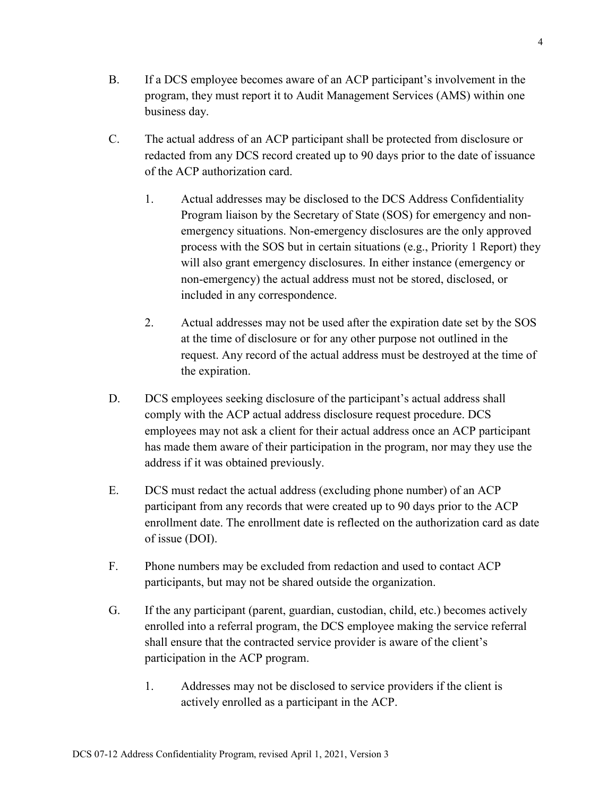- B. If a DCS employee becomes aware of an ACP participant's involvement in the program, they must report it to Audit Management Services (AMS) within one business day.
- C. The actual address of an ACP participant shall be protected from disclosure or redacted from any DCS record created up to 90 days prior to the date of issuance of the ACP authorization card.
	- 1. Actual addresses may be disclosed to the DCS Address Confidentiality Program liaison by the Secretary of State (SOS) for emergency and nonemergency situations. Non-emergency disclosures are the only approved process with the SOS but in certain situations (e.g., Priority 1 Report) they will also grant emergency disclosures. In either instance (emergency or non-emergency) the actual address must not be stored, disclosed, or included in any correspondence.
	- 2. Actual addresses may not be used after the expiration date set by the SOS at the time of disclosure or for any other purpose not outlined in the request. Any record of the actual address must be destroyed at the time of the expiration.
- D. DCS employees seeking disclosure of the participant's actual address shall comply with the ACP actual address disclosure request procedure. DCS employees may not ask a client for their actual address once an ACP participant has made them aware of their participation in the program, nor may they use the address if it was obtained previously.
- E. DCS must redact the actual address (excluding phone number) of an ACP participant from any records that were created up to 90 days prior to the ACP enrollment date. The enrollment date is reflected on the authorization card as date of issue (DOI).
- F. Phone numbers may be excluded from redaction and used to contact ACP participants, but may not be shared outside the organization.
- G. If the any participant (parent, guardian, custodian, child, etc.) becomes actively enrolled into a referral program, the DCS employee making the service referral shall ensure that the contracted service provider is aware of the client's participation in the ACP program.
	- 1. Addresses may not be disclosed to service providers if the client is actively enrolled as a participant in the ACP.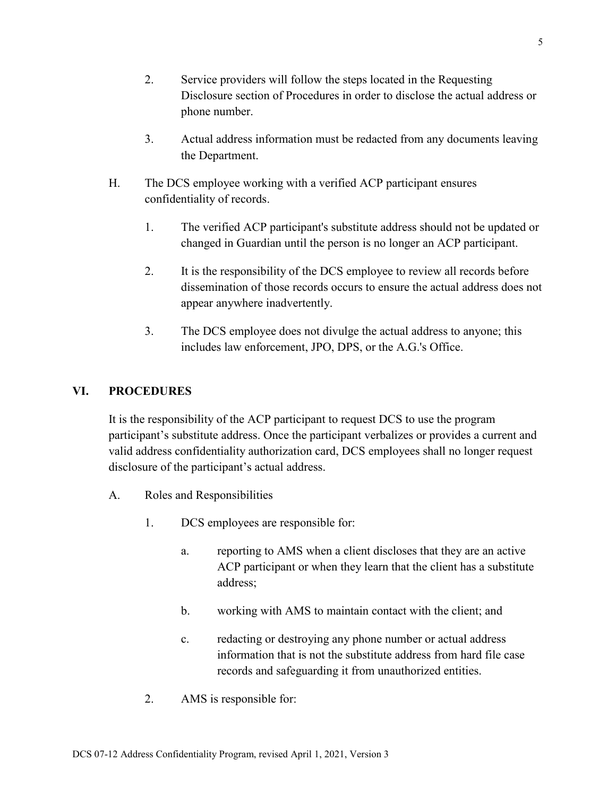- 2. Service providers will follow the steps located in the Requesting Disclosure section of Procedures in order to disclose the actual address or phone number.
- 3. Actual address information must be redacted from any documents leaving the Department.
- H. The DCS employee working with a verified ACP participant ensures confidentiality of records.
	- 1. The verified ACP participant's substitute address should not be updated or changed in Guardian until the person is no longer an ACP participant.
	- 2. It is the responsibility of the DCS employee to review all records before dissemination of those records occurs to ensure the actual address does not appear anywhere inadvertently.
	- 3. The DCS employee does not divulge the actual address to anyone; this includes law enforcement, JPO, DPS, or the A.G.'s Office.

### **VI. PROCEDURES**

It is the responsibility of the ACP participant to request DCS to use the program participant's substitute address. Once the participant verbalizes or provides a current and valid address confidentiality authorization card, DCS employees shall no longer request disclosure of the participant's actual address.

- A. Roles and Responsibilities
	- 1. DCS employees are responsible for:
		- a. reporting to AMS when a client discloses that they are an active ACP participant or when they learn that the client has a substitute address;
		- b. working with AMS to maintain contact with the client; and
		- c. redacting or destroying any phone number or actual address information that is not the substitute address from hard file case records and safeguarding it from unauthorized entities.
	- 2. AMS is responsible for: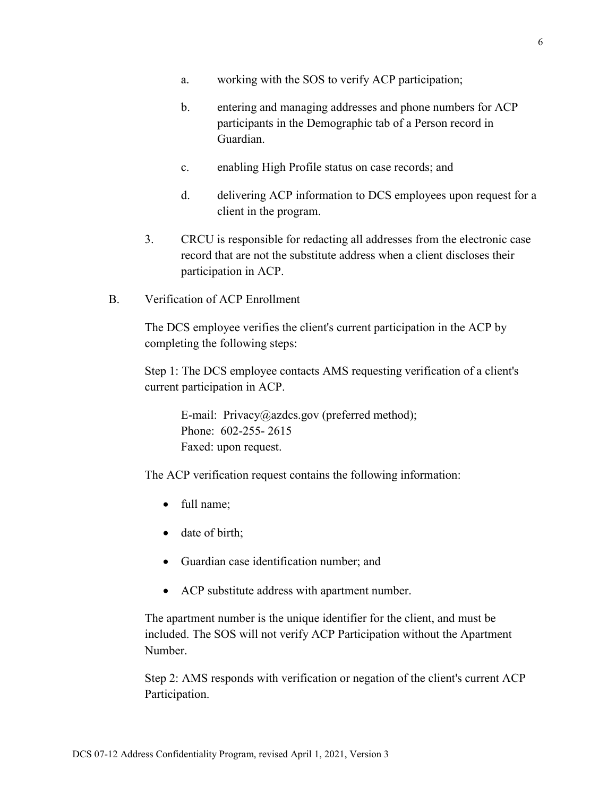- a. working with the SOS to verify ACP participation;
- b. entering and managing addresses and phone numbers for ACP participants in the Demographic tab of a Person record in Guardian.
- c. enabling High Profile status on case records; and
- d. delivering ACP information to DCS employees upon request for a client in the program.
- 3. CRCU is responsible for redacting all addresses from the electronic case record that are not the substitute address when a client discloses their participation in ACP.
- B. Verification of ACP Enrollment

The DCS employee verifies the client's current participation in the ACP by completing the following steps:

Step 1: The DCS employee contacts AMS requesting verification of a client's current participation in ACP.

E-mail: Privacy@azdcs.gov (preferred method); Phone: 602-255- 2615 Faxed: upon request.

The ACP verification request contains the following information:

- full name:
- date of birth;
- Guardian case identification number; and
- ACP substitute address with apartment number.

The apartment number is the unique identifier for the client, and must be included. The SOS will not verify ACP Participation without the Apartment Number.

Step 2: AMS responds with verification or negation of the client's current ACP Participation.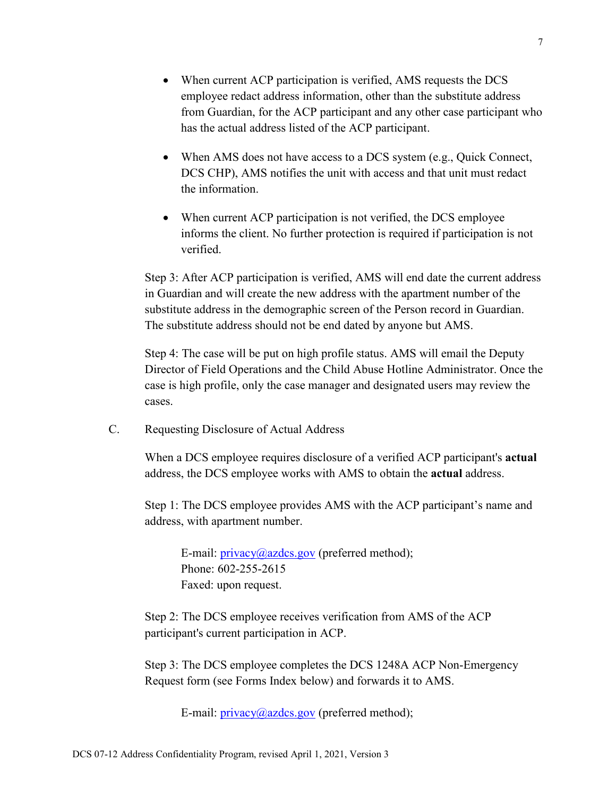- When current ACP participation is verified, AMS requests the DCS employee redact address information, other than the substitute address from Guardian, for the ACP participant and any other case participant who has the actual address listed of the ACP participant.
- When AMS does not have access to a DCS system (e.g., Quick Connect, DCS CHP), AMS notifies the unit with access and that unit must redact the information.
- When current ACP participation is not verified, the DCS employee informs the client. No further protection is required if participation is not verified.

Step 3: After ACP participation is verified, AMS will end date the current address in Guardian and will create the new address with the apartment number of the substitute address in the demographic screen of the Person record in Guardian. The substitute address should not be end dated by anyone but AMS.

Step 4: The case will be put on high profile status. AMS will email the Deputy Director of Field Operations and the Child Abuse Hotline Administrator. Once the case is high profile, only the case manager and designated users may review the cases.

C. Requesting Disclosure of Actual Address

When a DCS employee requires disclosure of a verified ACP participant's **actual** address, the DCS employee works with AMS to obtain the **actual** address.

Step 1: The DCS employee provides AMS with the ACP participant's name and address, with apartment number.

E-mail:  $\frac{\text{privacy}(a)}{\text{azdes.gov}}$  (preferred method); Phone: 602-255-2615 Faxed: upon request.

Step 2: The DCS employee receives verification from AMS of the ACP participant's current participation in ACP.

Step 3: The DCS employee completes the DCS 1248A ACP Non-Emergency Request form (see Forms Index below) and forwards it to AMS.

E-mail:  $\frac{\text{privacy}(a)\text{azdes.gov}}{\text{proferred method}}$ ;